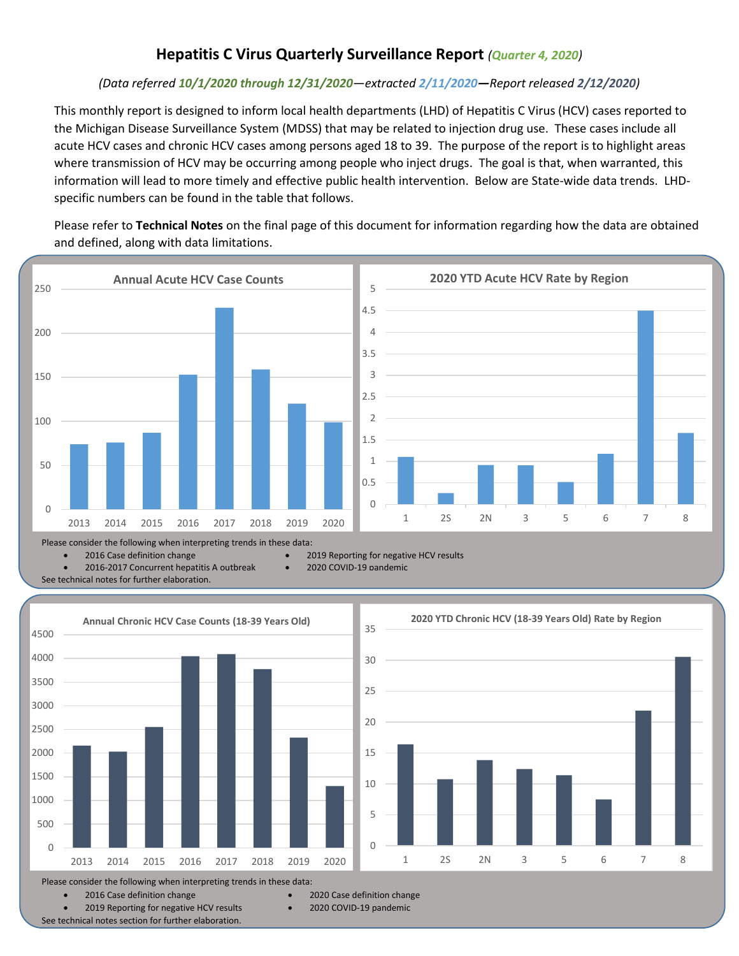# **Hepatitis C Virus Quarterly Surveillance Report** *(Quarter 4, 2020)*

### *(Data referred 10/1/2020 through 12/31/2020—extracted 2/11/2020—Report released 2/12/2020)*

This monthly report is designed to inform local health departments (LHD) of Hepatitis C Virus (HCV) cases reported to the Michigan Disease Surveillance System (MDSS) that may be related to injection drug use. These cases include all acute HCV cases and chronic HCV cases among persons aged 18 to 39. The purpose of the report is to highlight areas where transmission of HCV may be occurring among people who inject drugs. The goal is that, when warranted, this information will lead to more timely and effective public health intervention. Below are State-wide data trends. LHDspecific numbers can be found in the table that follows.

Please refer to **Technical Notes** on the final page of this document for information regarding how the data are obtained and defined, along with data limitations.



• 2016 Case definition change

- 2016-2017 Concurrent hepatitis A outbreak
- 2020 COVID-19 pandemic
- See technical notes for further elaboration.
- 0 500 1000 1500 2000 2500 3000 3500 4000 4500 2013 2014 2015 2016 2017 2018 2019 2020 **Annual Chronic HCV Case Counts (18-39 Years Old)**



Please consider the following when interpreting trends in these data:

• 2019 Reporting for negative HCV results

- 2016 Case definition change
- 2020 Case definition change
	- 2020 COVID-19 pandemic

See technical notes section for further elaboration.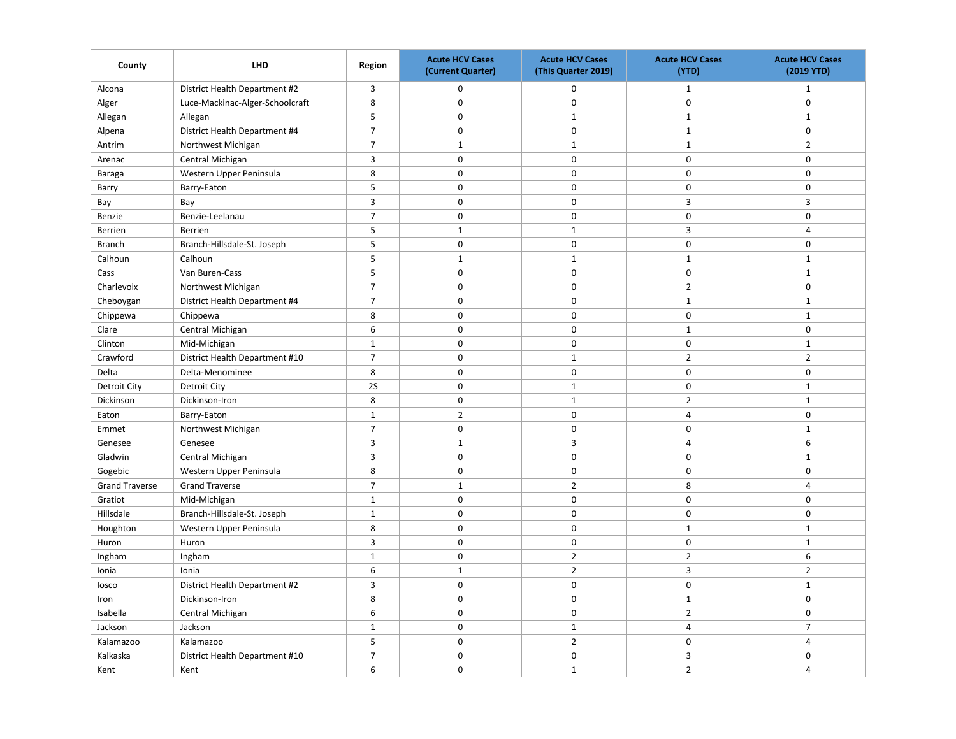| County                | <b>LHD</b>                      | Region         | <b>Acute HCV Cases</b><br>(Current Quarter) | <b>Acute HCV Cases</b><br>(This Quarter 2019) | <b>Acute HCV Cases</b><br>(YTD) | <b>Acute HCV Cases</b><br>(2019 YTD) |
|-----------------------|---------------------------------|----------------|---------------------------------------------|-----------------------------------------------|---------------------------------|--------------------------------------|
| Alcona                | District Health Department #2   | 3              | $\Omega$                                    | $\mathsf 0$                                   | $\mathbf{1}$                    | $\mathbf{1}$                         |
| Alger                 | Luce-Mackinac-Alger-Schoolcraft | 8              | $\mathbf 0$                                 | 0                                             | $\mathbf 0$                     | $\mathbf 0$                          |
| Allegan               | Allegan                         | 5              | $\mathbf 0$                                 | $\mathbf{1}$                                  | $\mathbf{1}$                    | $\mathbf{1}$                         |
| Alpena                | District Health Department #4   | $\overline{7}$ | $\mathsf 0$                                 | $\mathbf 0$                                   | $\mathbf{1}$                    | $\mathsf 0$                          |
| Antrim                | Northwest Michigan              | $\overline{7}$ | $\mathbf{1}$                                | $\mathbf{1}$                                  | $\mathbf{1}$                    | $\overline{2}$                       |
| Arenac                | Central Michigan                | 3              | $\mathbf 0$                                 | 0                                             | $\mathsf 0$                     | 0                                    |
| Baraga                | Western Upper Peninsula         | 8              | $\mathsf 0$                                 | $\mathbf 0$                                   | $\mathsf 0$                     | $\mathsf 0$                          |
| Barry                 | Barry-Eaton                     | 5              | $\mathbf 0$                                 | $\mathbf 0$                                   | $\mathbf 0$                     | $\mathsf 0$                          |
| Bay                   | Bay                             | $\overline{3}$ | $\mathbf 0$                                 | $\mathbf 0$                                   | $\overline{3}$                  | $\overline{3}$                       |
| Benzie                | Benzie-Leelanau                 | $\overline{7}$ | $\mathbf 0$                                 | $\mathbf 0$                                   | $\mathsf 0$                     | $\mathsf 0$                          |
| Berrien               | Berrien                         | 5              | $\mathbf 1$                                 | $\mathbf 1$                                   | $\mathbf{3}$                    | 4                                    |
| <b>Branch</b>         | Branch-Hillsdale-St. Joseph     | 5              | $\mathbf 0$                                 | 0                                             | $\mathsf 0$                     | $\mathbf 0$                          |
| Calhoun               | Calhoun                         | 5              | $\mathbf{1}$                                | $\mathbf{1}$                                  | $\mathbf{1}$                    | $\mathbf{1}$                         |
| Cass                  | Van Buren-Cass                  | 5              | $\mathbf 0$                                 | $\mathsf 0$                                   | $\mathsf 0$                     | $\mathbf{1}$                         |
| Charlevoix            | Northwest Michigan              | $\overline{7}$ | $\mathbf 0$                                 | 0                                             | $\overline{2}$                  | $\mathsf 0$                          |
| Cheboygan             | District Health Department #4   | $\overline{7}$ | $\mathbf 0$                                 | $\mathbf 0$                                   | $\mathbf{1}$                    | $\mathbf{1}$                         |
| Chippewa              | Chippewa                        | 8              | $\mathbf 0$                                 | $\mathsf 0$                                   | $\mathsf 0$                     | $\mathbf{1}$                         |
| Clare                 | Central Michigan                | 6              | 0                                           | 0                                             | $\mathbf{1}$                    | $\mathbf 0$                          |
| Clinton               | Mid-Michigan                    | $\mathbf 1$    | $\mathbf 0$                                 | $\mathsf 0$                                   | $\mathsf{O}\xspace$             | $\mathbf 1$                          |
| Crawford              | District Health Department #10  | $\overline{7}$ | $\mathsf 0$                                 | $\mathbf 1$                                   | $\overline{2}$                  | $\overline{2}$                       |
| Delta                 | Delta-Menominee                 | 8              | $\mathbf 0$                                 | $\mathbf 0$                                   | $\mathbf 0$                     | $\mathbf 0$                          |
| Detroit City          | Detroit City                    | 2S             | $\mathbf 0$                                 | $\mathbf 1$                                   | $\mathbf 0$                     | $\mathbf{1}$                         |
| Dickinson             | Dickinson-Iron                  | 8              | $\mathbf 0$                                 | $\mathbf 1$                                   | $\overline{2}$                  | $\mathbf{1}$                         |
| Eaton                 | Barry-Eaton                     | $\mathbf{1}$   | $\overline{2}$                              | 0                                             | $\overline{4}$                  | $\mathbf 0$                          |
| Emmet                 | Northwest Michigan              | $\overline{7}$ | $\mathbf 0$                                 | $\mathbf 0$                                   | $\mathbf 0$                     | $\mathbf{1}$                         |
| Genesee               | Genesee                         | 3              | $\mathbf{1}$                                | 3                                             | $\overline{4}$                  | 6                                    |
| Gladwin               | Central Michigan                | 3              | $\mathbf 0$                                 | $\mathsf 0$                                   | $\mathbf 0$                     | $\mathbf{1}$                         |
| Gogebic               | Western Upper Peninsula         | 8              | $\mathbf 0$                                 | $\mathbf 0$                                   | $\mathbf 0$                     | $\mathbf 0$                          |
| <b>Grand Traverse</b> | <b>Grand Traverse</b>           | $\overline{7}$ | $\mathbf{1}$                                | $\overline{2}$                                | 8                               | $\overline{4}$                       |
| Gratiot               | Mid-Michigan                    | $\mathbf{1}$   | $\mathbf 0$                                 | 0                                             | $\mathbf 0$                     | $\mathbf 0$                          |
| Hillsdale             | Branch-Hillsdale-St. Joseph     | $\mathbf{1}$   | 0                                           | $\mathbf 0$                                   | $\mathbf 0$                     | $\mathbf 0$                          |
| Houghton              | Western Upper Peninsula         | $\bf 8$        | $\mathsf 0$                                 | $\mathsf 0$                                   | $\mathbf 1$                     | $\mathbf 1$                          |
| Huron                 | Huron                           | $\overline{3}$ | $\mathbf 0$                                 | $\mathsf 0$                                   | $\mathbf 0$                     | $\mathbf{1}$                         |
| Ingham                | Ingham                          | $\mathbf{1}$   | $\mathbf 0$                                 | $\overline{2}$                                | $\overline{2}$                  | 6                                    |
| Ionia                 | Ionia                           | 6              | $\mathbf{1}$                                | $\overline{2}$                                | $\mathsf 3$                     | $\overline{2}$                       |
| losco                 | District Health Department #2   | $\overline{3}$ | $\mathsf 0$                                 | $\pmb{0}$                                     | $\mathbf 0$                     | $\mathbf 1$                          |
| Iron                  | Dickinson-Iron                  | 8              | $\mathbf 0$                                 | $\mathbf 0$                                   | $\mathbf{1}$                    | $\mathbf 0$                          |
| Isabella              | Central Michigan                | 6              | $\mathbf 0$                                 | $\mathbf 0$                                   | $\overline{2}$                  | $\mathbf 0$                          |
| Jackson               | Jackson                         | $\mathbf{1}$   | 0                                           | $\mathbf{1}$                                  | $\overline{4}$                  | $\overline{7}$                       |
| Kalamazoo             | Kalamazoo                       | 5              | $\mathbf 0$                                 | $\overline{2}$                                | $\mathbf 0$                     | $\overline{4}$                       |
| Kalkaska              | District Health Department #10  | $\overline{7}$ | $\mathbf 0$                                 | $\mathsf 0$                                   | $\overline{3}$                  | $\mathbf 0$                          |
| Kent                  | Kent                            | 6              | $\mathbf 0$                                 | $\mathbf{1}$                                  | $\overline{2}$                  | $\overline{4}$                       |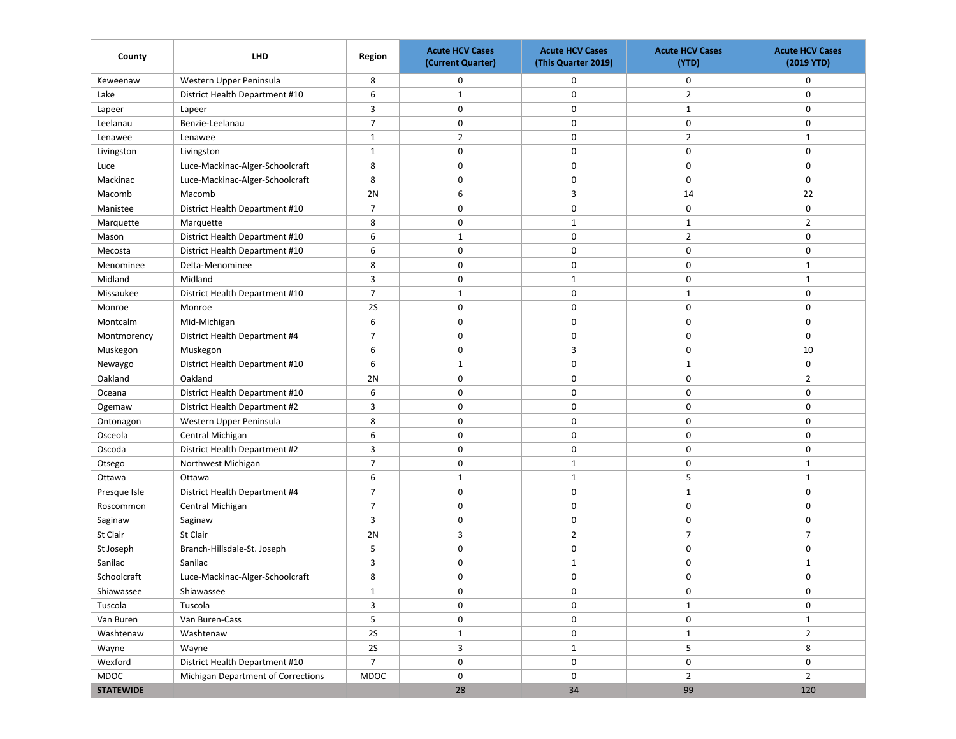| County           | <b>LHD</b>                         | Region         | <b>Acute HCV Cases</b><br>(Current Quarter) | <b>Acute HCV Cases</b><br>(This Quarter 2019) | <b>Acute HCV Cases</b><br>(YTD) | <b>Acute HCV Cases</b><br>(2019 YTD) |
|------------------|------------------------------------|----------------|---------------------------------------------|-----------------------------------------------|---------------------------------|--------------------------------------|
| Keweenaw         | Western Upper Peninsula            | 8              | 0                                           | 0                                             | 0                               | 0                                    |
| Lake             | District Health Department #10     | 6              | $\mathbf{1}$                                | 0                                             | 2                               | 0                                    |
| Lapeer           | Lapeer                             | 3              | 0                                           | 0                                             | $\mathbf{1}$                    | 0                                    |
| Leelanau         | Benzie-Leelanau                    | $\overline{7}$ | 0                                           | 0                                             | 0                               | 0                                    |
| Lenawee          | Lenawee                            | $\mathbf{1}$   | $\overline{2}$                              | 0                                             | $\overline{2}$                  | 1                                    |
| Livingston       | Livingston                         | $\mathbf{1}$   | $\mathbf 0$                                 | 0                                             | $\mathbf 0$                     | 0                                    |
| Luce             | Luce-Mackinac-Alger-Schoolcraft    | 8              | 0                                           | 0                                             | 0                               | 0                                    |
| Mackinac         | Luce-Mackinac-Alger-Schoolcraft    | 8              | 0                                           | 0                                             | $\mathbf 0$                     | 0                                    |
| Macomb           | Macomb                             | 2N             | 6                                           | 3                                             | 14                              | 22                                   |
| Manistee         | District Health Department #10     | $\overline{7}$ | $\mathbf 0$                                 | 0                                             | 0                               | 0                                    |
| Marquette        | Marquette                          | 8              | 0                                           | 1                                             | $\mathbf 1$                     | $\overline{2}$                       |
| Mason            | District Health Department #10     | 6              | $\mathbf{1}$                                | 0                                             | $\overline{2}$                  | 0                                    |
| Mecosta          | District Health Department #10     | 6              | 0                                           | 0                                             | $\mathbf 0$                     | 0                                    |
| Menominee        | Delta-Menominee                    | 8              | 0                                           | 0                                             | 0                               | $\mathbf{1}$                         |
| Midland          | Midland                            | 3              | 0                                           | $\mathbf 1$                                   | 0                               | $\mathbf{1}$                         |
| Missaukee        | District Health Department #10     | $\overline{7}$ | $1\,$                                       | 0                                             | $\mathbf 1$                     | 0                                    |
| Monroe           | Monroe                             | 2S             | 0                                           | $\pmb{0}$                                     | 0                               | 0                                    |
| Montcalm         | Mid-Michigan                       | 6              | $\mathbf 0$                                 | 0                                             | 0                               | $\mathbf 0$                          |
| Montmorency      | District Health Department #4      | $\overline{7}$ | $\mathbf 0$                                 | 0                                             | $\mathbf 0$                     | 0                                    |
| Muskegon         | Muskegon                           | 6              | 0                                           | 3                                             | 0                               | 10                                   |
| Newaygo          | District Health Department #10     | 6              | $\mathbf{1}$                                | 0                                             | $\mathbf{1}$                    | 0                                    |
| Oakland          | Oakland                            | 2N             | $\mathbf 0$                                 | 0                                             | $\mathbf 0$                     | $\overline{2}$                       |
| Oceana           | District Health Department #10     | 6              | 0                                           | 0                                             | $\mathbf 0$                     | 0                                    |
| Ogemaw           | District Health Department #2      | 3              | 0                                           | 0                                             | 0                               | 0                                    |
| Ontonagon        | Western Upper Peninsula            | 8              | 0                                           | 0                                             | 0                               | 0                                    |
| Osceola          | Central Michigan                   | 6              | 0                                           | 0                                             | 0                               | 0                                    |
| Oscoda           | District Health Department #2      | 3              | 0                                           | 0                                             | 0                               | 0                                    |
| Otsego           | Northwest Michigan                 | 7              | 0                                           | 1                                             | 0                               | $\mathbf{1}$                         |
| Ottawa           | Ottawa                             | 6              | $\mathbf{1}$                                | 1                                             | 5                               | $\mathbf{1}$                         |
| Presque Isle     | District Health Department #4      | $\overline{7}$ | 0                                           | 0                                             | $\mathbf{1}$                    | 0                                    |
| Roscommon        | Central Michigan                   | $\overline{7}$ | $\mathbf 0$                                 | 0                                             | $\mathbf 0$                     | 0                                    |
| Saginaw          | Saginaw                            | 3              | 0                                           | 0                                             | 0                               | 0                                    |
| St Clair         | St Clair                           | 2N             | 3                                           | $\overline{2}$                                | $\overline{7}$                  | $\overline{7}$                       |
| St Joseph        | Branch-Hillsdale-St. Joseph        | 5              | $\mathbf 0$                                 | 0                                             | 0                               | 0                                    |
| Sanilac          | Sanilac                            | 3              | 0                                           | $\mathbf{1}$                                  | 0                               | $\mathbf{1}$                         |
| Schoolcraft      | Luce-Mackinac-Alger-Schoolcraft    | 8              | $\Omega$                                    | $\mathbf 0$                                   | $\Omega$                        | $\Omega$                             |
| Shiawassee       | Shiawassee                         | $\mathbf{1}$   | 0                                           | 0                                             | 0                               | 0                                    |
| Tuscola          | Tuscola                            | 3              | 0                                           | 0                                             | $\mathbf{1}$                    | 0                                    |
| Van Buren        | Van Buren-Cass                     | 5              | 0                                           | 0                                             | 0                               | $\mathbf{1}$                         |
| Washtenaw        | Washtenaw                          | 2S             | $\mathbf{1}$                                | 0                                             | $\mathbf{1}$                    | $\overline{2}$                       |
| Wayne            | Wayne                              | 2S             | 3                                           | $\mathbf{1}$                                  | 5                               | 8                                    |
| Wexford          | District Health Department #10     | $\overline{7}$ | 0                                           | 0                                             | 0                               | 0                                    |
| MDOC             | Michigan Department of Corrections | MDOC           | $\mathsf{O}\xspace$                         | 0                                             | $\overline{2}$                  | $\overline{2}$                       |
| <b>STATEWIDE</b> |                                    |                | 28                                          | 34                                            | 99                              | 120                                  |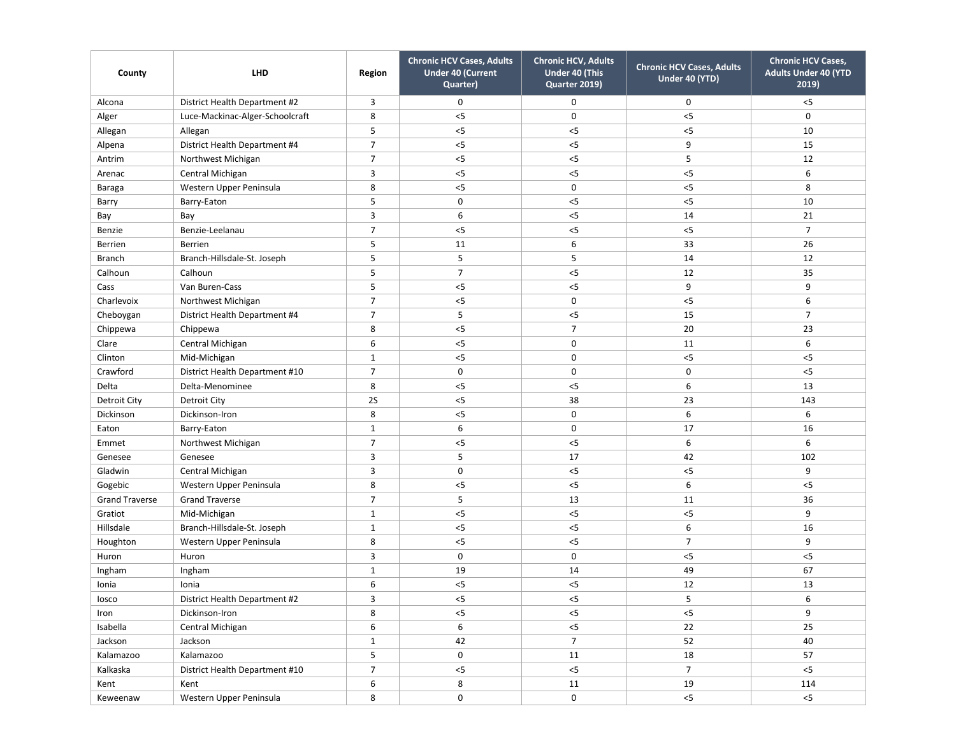| County                | <b>LHD</b>                      | Region         | <b>Chronic HCV Cases, Adults</b><br><b>Under 40 (Current</b><br>Quarter) | <b>Chronic HCV, Adults</b><br>Under 40 (This<br>Quarter 2019) | <b>Chronic HCV Cases, Adults</b><br>Under 40 (YTD) | <b>Chronic HCV Cases,</b><br><b>Adults Under 40 (YTD</b><br>2019) |
|-----------------------|---------------------------------|----------------|--------------------------------------------------------------------------|---------------------------------------------------------------|----------------------------------------------------|-------------------------------------------------------------------|
| Alcona                | District Health Department #2   | 3              | 0                                                                        | 0                                                             | 0                                                  | $<$ 5                                                             |
| Alger                 | Luce-Mackinac-Alger-Schoolcraft | 8              | $<$ 5                                                                    | 0                                                             | $<$ 5                                              | 0                                                                 |
| Allegan               | Allegan                         | 5              | $<$ 5                                                                    | $<$ 5                                                         | $<$ 5                                              | 10                                                                |
| Alpena                | District Health Department #4   | $\overline{7}$ | $<$ 5                                                                    | $<$ 5                                                         | 9                                                  | 15                                                                |
| Antrim                | Northwest Michigan              | $\overline{7}$ | $<$ 5                                                                    | $<$ 5                                                         | 5                                                  | 12                                                                |
| Arenac                | Central Michigan                | 3              | < 5                                                                      | < 5                                                           | $<$ 5                                              | 6                                                                 |
| Baraga                | Western Upper Peninsula         | 8              | $<$ 5                                                                    | 0                                                             | $<$ 5                                              | 8                                                                 |
| Barry                 | Barry-Eaton                     | 5              | 0                                                                        | $<$ 5                                                         | $<$ 5                                              | 10                                                                |
| Bay                   | Bay                             | 3              | 6                                                                        | $<$ 5                                                         | 14                                                 | 21                                                                |
| Benzie                | Benzie-Leelanau                 | 7              | $<$ 5                                                                    | $<$ 5                                                         | $<$ 5                                              | $\overline{7}$                                                    |
| Berrien               | Berrien                         | 5              | 11                                                                       | 6                                                             | 33                                                 | 26                                                                |
| <b>Branch</b>         | Branch-Hillsdale-St. Joseph     | 5              | 5                                                                        | 5                                                             | 14                                                 | 12                                                                |
| Calhoun               | Calhoun                         | 5              | $\overline{7}$                                                           | $<$ 5                                                         | 12                                                 | 35                                                                |
| Cass                  | Van Buren-Cass                  | 5              | $<$ 5                                                                    | $<$ 5                                                         | 9                                                  | 9                                                                 |
| Charlevoix            | Northwest Michigan              | 7              | $< 5$                                                                    | 0                                                             | $<$ 5                                              | 6                                                                 |
| Cheboygan             | District Health Department #4   | $\overline{7}$ | 5                                                                        | $<$ 5                                                         | 15                                                 | $\overline{7}$                                                    |
| Chippewa              | Chippewa                        | 8              | $<$ 5                                                                    | $\overline{7}$                                                | 20                                                 | 23                                                                |
| Clare                 | Central Michigan                | 6              | < 5                                                                      | 0                                                             | 11                                                 | 6                                                                 |
| Clinton               | Mid-Michigan                    | $\mathbf{1}$   | < 5                                                                      | 0                                                             | $<$ 5                                              | $<$ 5                                                             |
| Crawford              | District Health Department #10  | 7              | 0                                                                        | 0                                                             | 0                                                  | $<$ 5                                                             |
| Delta                 | Delta-Menominee                 | 8              | $<$ 5                                                                    | $<$ 5                                                         | 6                                                  | 13                                                                |
| <b>Detroit City</b>   | Detroit City                    | 2S             | $< 5$                                                                    | 38                                                            | 23                                                 | 143                                                               |
| Dickinson             | Dickinson-Iron                  | 8              | $<$ 5                                                                    | 0                                                             | 6                                                  | 6                                                                 |
| Eaton                 | Barry-Eaton                     | $\mathbf{1}$   | 6                                                                        | 0                                                             | 17                                                 | 16                                                                |
| Emmet                 | Northwest Michigan              | 7              | $<$ 5                                                                    | $<$ 5                                                         | 6                                                  | 6                                                                 |
| Genesee               | Genesee                         | 3              | 5                                                                        | 17                                                            | 42                                                 | 102                                                               |
| Gladwin               | Central Michigan                | 3              | 0                                                                        | $<$ 5                                                         | $<$ 5                                              | 9                                                                 |
| Gogebic               | Western Upper Peninsula         | 8              | $<$ 5                                                                    | $<$ 5                                                         | 6                                                  | $< 5$                                                             |
| <b>Grand Traverse</b> | <b>Grand Traverse</b>           | $\overline{7}$ | 5                                                                        | 13                                                            | 11                                                 | 36                                                                |
| Gratiot               | Mid-Michigan                    | $\mathbf{1}$   | $<$ 5                                                                    | < 5                                                           | $<$ 5                                              | 9                                                                 |
| Hillsdale             | Branch-Hillsdale-St. Joseph     | $\mathbf{1}$   | $<$ 5                                                                    | $<$ 5                                                         | 6                                                  | 16                                                                |
| Houghton              | Western Upper Peninsula         | 8              | $<$ 5                                                                    | $<$ 5                                                         | $\overline{7}$                                     | 9                                                                 |
| Huron                 | Huron                           | 3              | 0                                                                        | 0                                                             | $<$ 5                                              | $< 5$                                                             |
| Ingham                | Ingham                          | $\mathbf 1$    | 19                                                                       | 14                                                            | 49                                                 | 67                                                                |
| Ionia                 | Ionia                           | 6              | < 5                                                                      | < 5                                                           | 12                                                 | 13                                                                |
| losco                 | District Health Department #2   | 3              | $< 5$                                                                    | $< 5$                                                         | 5                                                  | 6                                                                 |
| Iron                  | Dickinson-Iron                  | 8              | $< 5$                                                                    | $< 5$                                                         | $<$ 5                                              | 9                                                                 |
| Isabella              | Central Michigan                | 6              | 6                                                                        | $< 5$                                                         | 22                                                 | 25                                                                |
| Jackson               | Jackson                         | $\mathbf{1}$   | 42                                                                       | $7\overline{ }$                                               | 52                                                 | 40                                                                |
| Kalamazoo             | Kalamazoo                       | 5              | 0                                                                        | 11                                                            | 18                                                 | 57                                                                |
| Kalkaska              | District Health Department #10  | $\overline{7}$ | $< 5$                                                                    | $< 5$                                                         | $\overline{7}$                                     | $<$ 5                                                             |
| Kent                  | Kent                            | 6              | 8                                                                        | 11                                                            | 19                                                 | 114                                                               |
| Keweenaw              | Western Upper Peninsula         | 8              | 0                                                                        | 0                                                             | $<$ 5                                              | $<$ 5                                                             |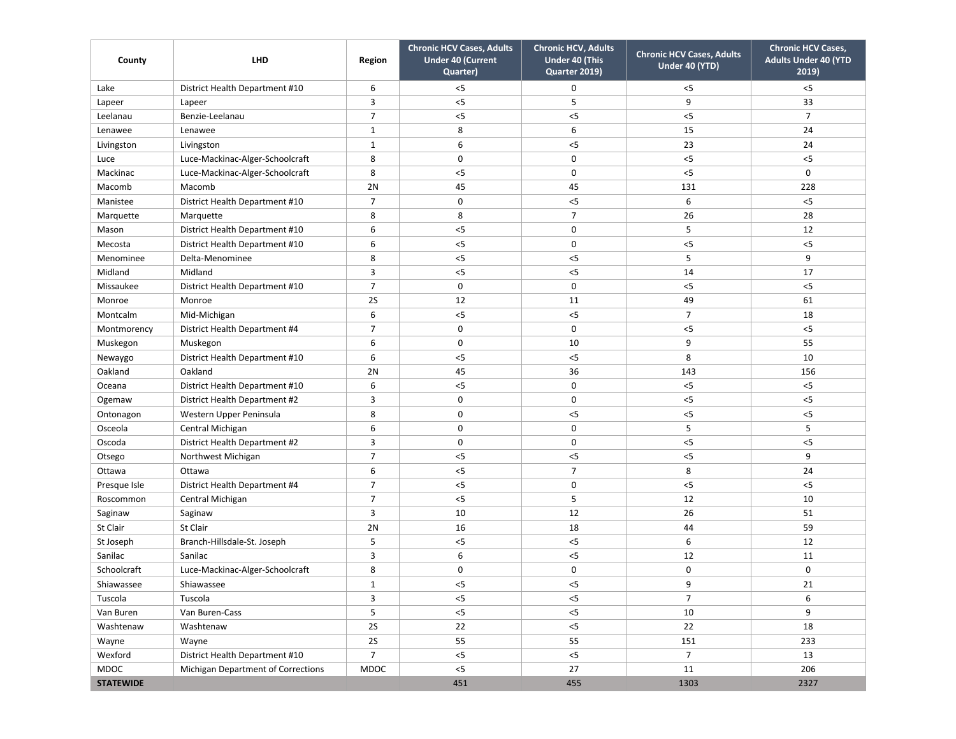| County           | <b>LHD</b>                         | Region         | <b>Chronic HCV Cases, Adults</b><br><b>Under 40 (Current</b><br>Quarter) | <b>Chronic HCV, Adults</b><br>Under 40 (This<br>Quarter 2019) | <b>Chronic HCV Cases, Adults</b><br>Under 40 (YTD) | <b>Chronic HCV Cases,</b><br><b>Adults Under 40 (YTD</b><br>2019) |
|------------------|------------------------------------|----------------|--------------------------------------------------------------------------|---------------------------------------------------------------|----------------------------------------------------|-------------------------------------------------------------------|
| Lake             | District Health Department #10     | 6              | $<$ 5                                                                    | 0                                                             | $<$ 5                                              | $<$ 5                                                             |
| Lapeer           | Lapeer                             | 3              | $<$ 5                                                                    | 5                                                             | 9                                                  | 33                                                                |
| Leelanau         | Benzie-Leelanau                    | $\overline{7}$ | $<$ 5                                                                    | $<$ 5                                                         | $<$ 5                                              | $\overline{7}$                                                    |
| Lenawee          | Lenawee                            | $\mathbf{1}$   | 8                                                                        | 6                                                             | 15                                                 | 24                                                                |
| Livingston       | Livingston                         | $\mathbf{1}$   | 6                                                                        | $<$ 5                                                         | 23                                                 | 24                                                                |
| Luce             | Luce-Mackinac-Alger-Schoolcraft    | 8              | $\mathbf 0$                                                              | 0                                                             | $<$ 5                                              | $<$ 5                                                             |
| Mackinac         | Luce-Mackinac-Alger-Schoolcraft    | 8              | $<$ 5                                                                    | 0                                                             | $<$ 5                                              | 0                                                                 |
| Macomb           | Macomb                             | 2N             | 45                                                                       | 45                                                            | 131                                                | 228                                                               |
| Manistee         | District Health Department #10     | $\overline{7}$ | 0                                                                        | $<$ 5                                                         | 6                                                  | $<$ 5                                                             |
| Marquette        | Marquette                          | 8              | 8                                                                        | $\overline{7}$                                                | 26                                                 | 28                                                                |
| Mason            | District Health Department #10     | 6              | $<$ 5                                                                    | 0                                                             | 5                                                  | 12                                                                |
| Mecosta          | District Health Department #10     | 6              | $<$ 5                                                                    | 0                                                             | $<$ 5                                              | $<$ 5                                                             |
| Menominee        | Delta-Menominee                    | 8              | $<$ 5                                                                    | $<$ 5                                                         | 5                                                  | 9                                                                 |
| Midland          | Midland                            | 3              | $<$ 5                                                                    | $<$ 5                                                         | 14                                                 | 17                                                                |
| Missaukee        | District Health Department #10     | $\overline{7}$ | 0                                                                        | 0                                                             | $<$ 5                                              | $<$ 5                                                             |
| Monroe           | Monroe                             | 2S             | 12                                                                       | 11                                                            | 49                                                 | 61                                                                |
| Montcalm         | Mid-Michigan                       | 6              | $<$ 5                                                                    | $<$ 5                                                         | $\overline{7}$                                     | 18                                                                |
| Montmorency      | District Health Department #4      | $\overline{7}$ | 0                                                                        | 0                                                             | $<$ 5                                              | $<$ 5                                                             |
| Muskegon         | Muskegon                           | 6              | 0                                                                        | 10                                                            | 9                                                  | 55                                                                |
| Newaygo          | District Health Department #10     | 6              | $<$ 5                                                                    | $<$ 5                                                         | 8                                                  | 10                                                                |
| Oakland          | Oakland                            | 2N             | 45                                                                       | 36                                                            | 143                                                | 156                                                               |
| Oceana           | District Health Department #10     | 6              | $<$ 5                                                                    | 0                                                             | $<$ 5                                              | $<$ 5                                                             |
| Ogemaw           | District Health Department #2      | 3              | 0                                                                        | 0                                                             | $<$ 5                                              | $<$ 5                                                             |
| Ontonagon        | Western Upper Peninsula            | 8              | $\mathbf 0$                                                              | $<$ 5                                                         | $<$ 5                                              | $<$ 5                                                             |
| Osceola          | Central Michigan                   | 6              | 0                                                                        | 0                                                             | 5                                                  | 5                                                                 |
| Oscoda           | District Health Department #2      | 3              | 0                                                                        | 0                                                             | $<$ 5                                              | $<$ 5                                                             |
| Otsego           | Northwest Michigan                 | $\overline{7}$ | $<$ 5                                                                    | $<$ 5                                                         | $<$ 5                                              | 9                                                                 |
| Ottawa           | Ottawa                             | 6              | < 5                                                                      | 7                                                             | 8                                                  | 24                                                                |
| Presque Isle     | District Health Department #4      | 7              | < 5                                                                      | 0                                                             | $<$ 5                                              | $<$ 5                                                             |
| Roscommon        | Central Michigan                   | 7              | < 5                                                                      | 5                                                             | 12                                                 | 10                                                                |
| Saginaw          | Saginaw                            | 3              | 10                                                                       | 12                                                            | 26                                                 | 51                                                                |
| St Clair         | St Clair                           | 2N             | 16                                                                       | 18                                                            | 44                                                 | 59                                                                |
| St Joseph        | Branch-Hillsdale-St. Joseph        | 5              | $<$ 5                                                                    | $<$ 5                                                         | 6                                                  | 12                                                                |
| Sanilac          | Sanilac                            | 3              | 6                                                                        | $<$ 5                                                         | 12                                                 | 11                                                                |
| Schoolcraft      | Luce-Mackinac-Alger-Schoolcraft    | 8              | $\mathbf 0$                                                              | 0                                                             | 0                                                  | 0                                                                 |
| Shiawassee       | Shiawassee                         | $\mathbf{1}$   | $<$ 5                                                                    | $<$ 5                                                         | 9                                                  | 21                                                                |
| Tuscola          | Tuscola                            | 3              | $< 5$                                                                    | $<$ 5                                                         | $\overline{7}$                                     | 6                                                                 |
| Van Buren        | Van Buren-Cass                     | 5              | $<$ 5                                                                    | $< 5$                                                         | 10                                                 | 9                                                                 |
| Washtenaw        | Washtenaw                          | 2S             | 22                                                                       | $< 5$                                                         | 22                                                 | 18                                                                |
| Wayne            | Wayne                              | 2S             | 55                                                                       | 55                                                            | 151                                                | 233                                                               |
| Wexford          | District Health Department #10     | $\overline{7}$ | $<$ 5                                                                    | $< 5$                                                         | $\overline{7}$                                     | 13                                                                |
| MDOC             | Michigan Department of Corrections | <b>MDOC</b>    | $<$ 5                                                                    | 27                                                            | 11                                                 | 206                                                               |
| <b>STATEWIDE</b> |                                    |                | 451                                                                      | 455                                                           | 1303                                               | 2327                                                              |